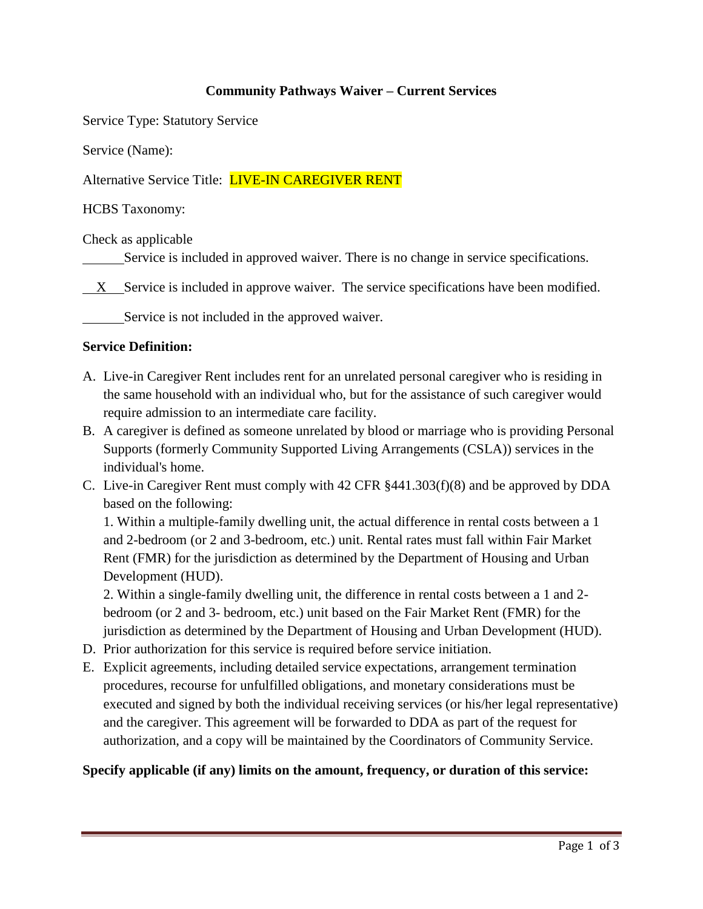# **Community Pathways Waiver – Current Services**

Service Type: Statutory Service

Service (Name):

Alternative Service Title: **LIVE-IN CAREGIVER RENT** 

HCBS Taxonomy:

Check as applicable

Service is included in approved waiver. There is no change in service specifications.

 $X$  Service is included in approve waiver. The service specifications have been modified.

Service is not included in the approved waiver.

## **Service Definition:**

- A. Live-in Caregiver Rent includes rent for an unrelated personal caregiver who is residing in the same household with an individual who, but for the assistance of such caregiver would require admission to an intermediate care facility.
- B. A caregiver is defined as someone unrelated by blood or marriage who is providing Personal Supports (formerly Community Supported Living Arrangements (CSLA)) services in the individual's home.
- C. Live-in Caregiver Rent must comply with 42 CFR §441.303(f)(8) and be approved by DDA based on the following:

1. Within a multiple-family dwelling unit, the actual difference in rental costs between a 1 and 2-bedroom (or 2 and 3-bedroom, etc.) unit. Rental rates must fall within Fair Market Rent (FMR) for the jurisdiction as determined by the Department of Housing and Urban Development (HUD).

2. Within a single-family dwelling unit, the difference in rental costs between a 1 and 2 bedroom (or 2 and 3- bedroom, etc.) unit based on the Fair Market Rent (FMR) for the jurisdiction as determined by the Department of Housing and Urban Development (HUD).

- D. Prior authorization for this service is required before service initiation.
- E. Explicit agreements, including detailed service expectations, arrangement termination procedures, recourse for unfulfilled obligations, and monetary considerations must be executed and signed by both the individual receiving services (or his/her legal representative) and the caregiver. This agreement will be forwarded to DDA as part of the request for authorization, and a copy will be maintained by the Coordinators of Community Service.

# **Specify applicable (if any) limits on the amount, frequency, or duration of this service:**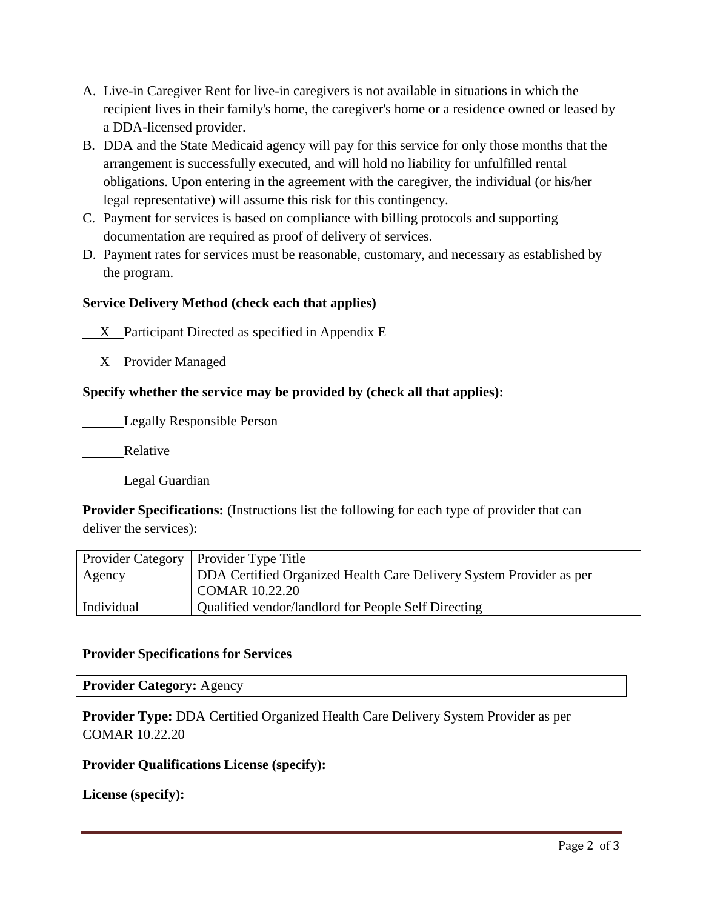- A. Live-in Caregiver Rent for live-in caregivers is not available in situations in which the recipient lives in their family's home, the caregiver's home or a residence owned or leased by a DDA-licensed provider.
- B. DDA and the State Medicaid agency will pay for this service for only those months that the arrangement is successfully executed, and will hold no liability for unfulfilled rental obligations. Upon entering in the agreement with the caregiver, the individual (or his/her legal representative) will assume this risk for this contingency.
- C. Payment for services is based on compliance with billing protocols and supporting documentation are required as proof of delivery of services.
- D. Payment rates for services must be reasonable, customary, and necessary as established by the program.

# **Service Delivery Method (check each that applies)**

X Participant Directed as specified in Appendix E

X Provider Managed

# **Specify whether the service may be provided by (check all that applies):**

Legally Responsible Person

Relative

Legal Guardian

**Provider Specifications:** (Instructions list the following for each type of provider that can deliver the services):

|            | Provider Category   Provider Type Title                             |
|------------|---------------------------------------------------------------------|
| Agency     | DDA Certified Organized Health Care Delivery System Provider as per |
|            | COMAR 10.22.20                                                      |
| Individual | Qualified vendor/landlord for People Self Directing                 |

### **Provider Specifications for Services**

**Provider Category:** Agency

**Provider Type:** DDA Certified Organized Health Care Delivery System Provider as per COMAR 10.22.20

### **Provider Qualifications License (specify):**

**License (specify):**